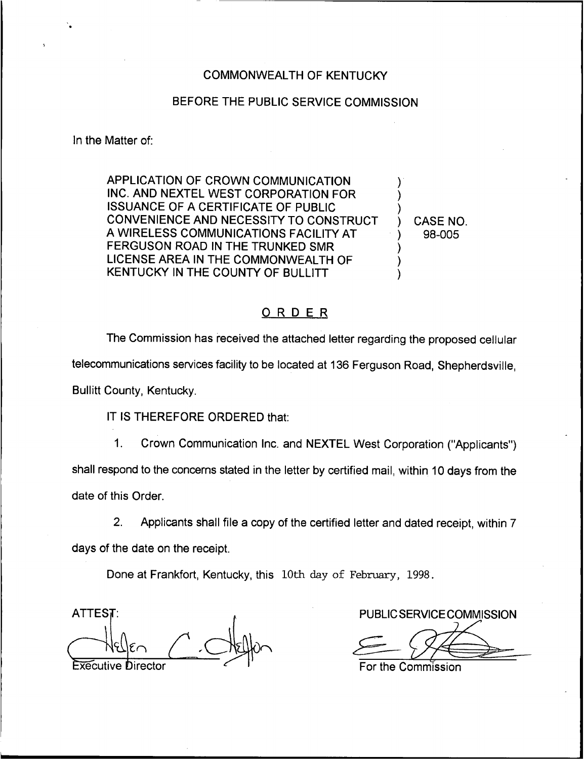## COMMONWEALTH OF KENTUCKY

## BEFORE THE PUBLIC SERVICE COMMISSION

In the Matter of:

APPLICATION OF CROWN COMMUNICATION INC. AND NEXTEL WEST CORPORATION FOR ISSUANCE OF A CERTIFICATE OF PUBLIC CONVENIENCE AND NECESSITY TO CONSTRUCT A WIRELESS COMMUNICATIONS FACILITY AT FERGUSON ROAD IN THE TRUNKED SMR LICENSE AREA IN THE COMMONWEALTH OF KENTUCKY IN THE COUNTY OF BULLITT

) CASE NO. ) 98-005

) ) )

) ) )

## ORDER

The Commission has received the attached letter regarding the proposed cellular telecommunications services facility to be located at 136 Ferguson Road, Shepherdsville, Bullitt County, Kentucky.

IT IS THEREFORE ORDERED that:

1. Crown Communication Inc. and NEXTEL West Corporation ("Applicants") shall respond to the concerns stated in the letter by certified mail, within 10 days from the date of this Order.

2. Applicants shall file a copy of the certified letter and dated receipt, within 7 days of the date on the receipt.

Done at Frankfort, Kentucky, this 10th day of February, 1998.

ATTEST: A PUBLIC SERVICE COMMISSION Executive Director  $\leq$  1. The For the Commission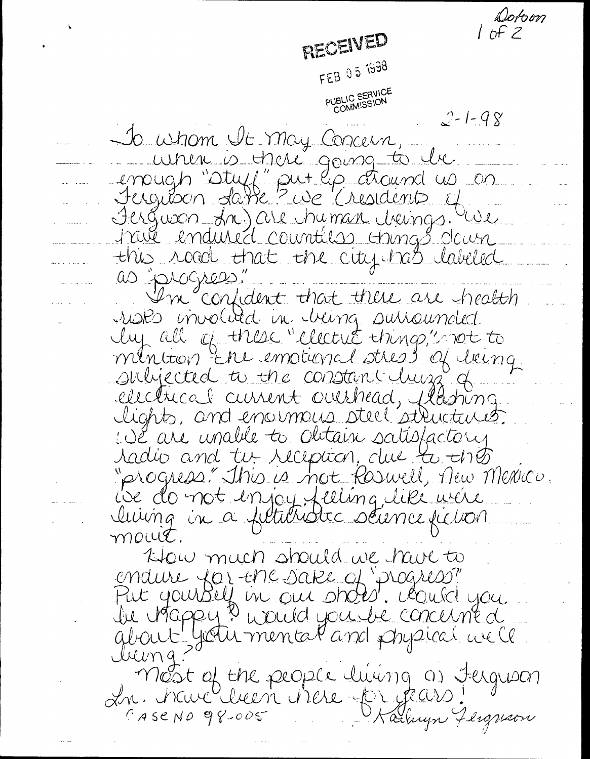Dotom  $10FZ$ RECEIVED FEB 05 1998 PUBLIC SERVICE<br>COMMISSION  $2 - 1 - 98$ To whom the may Concern, unen is there going to be emough "stuff" put les chaind us on Jergibon datte ? we (risident of Ferguson An) are chyman cheings. We trué endured countées trings dour this road that the city has labeled as progress" I'm confident that there are health risks involved in cheing subscurrated lup all of these "electric things," not to minition Ere emotional stress of lieing subjected to the constant hung of electrical current ourshead, flashing. lights, and enormais steel structures. We are unable to obtain satisfactory radio and tu reception, due to the "progress" this is not Roswell, Then Mexico. ise do not enjoy feeling like were.<br>Iuing in a filturistic scunce fiction mout. How much should we have to endure for the sake of "progress" Put yourself in our shotst. Could you<br>be inappy ? would you be concerned <u>lucing</u> most of the people luwing as fergusan In. have luin viere pr years.  $C$ ASCNO 98-005 Parlingn Fliguson